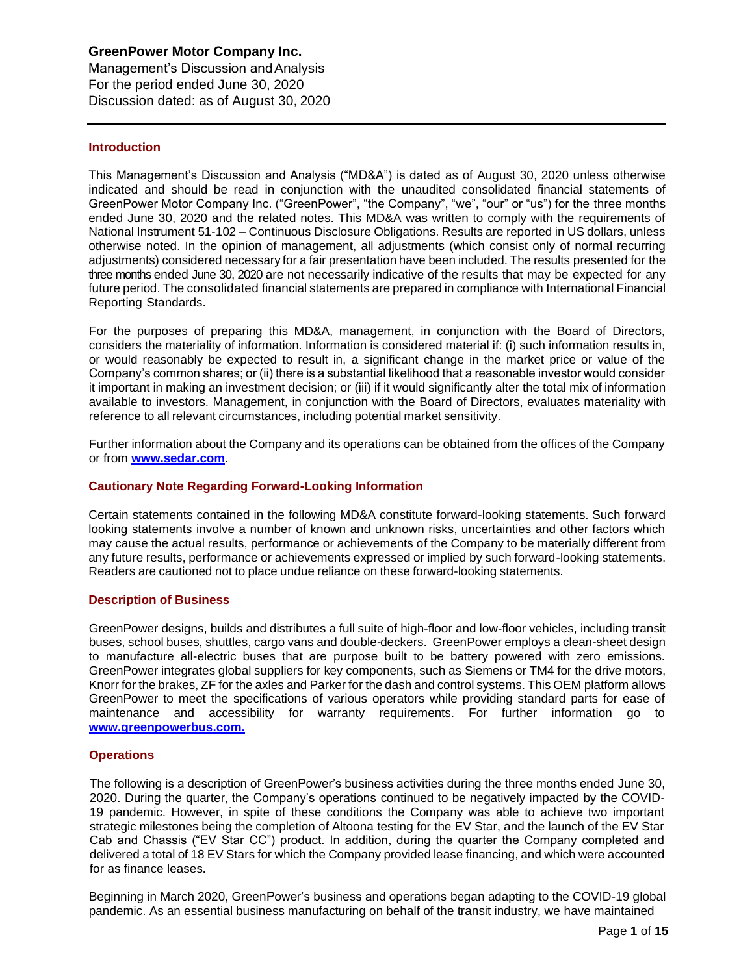Management's Discussion andAnalysis For the period ended June 30, 2020 Discussion dated: as of August 30, 2020

# **Introduction**

This Management's Discussion and Analysis ("MD&A") is dated as of August 30, 2020 unless otherwise indicated and should be read in conjunction with the unaudited consolidated financial statements of GreenPower Motor Company Inc. ("GreenPower", "the Company", "we", "our" or "us") for the three months ended June 30, 2020 and the related notes. This MD&A was written to comply with the requirements of National Instrument 51-102 – Continuous Disclosure Obligations. Results are reported in US dollars, unless otherwise noted. In the opinion of management, all adjustments (which consist only of normal recurring adjustments) considered necessary for afair presentationhave been included. Theresults presented for the three months ended June 30, 2020 are not necessarily indicative of the results that may be expected for any future period. The consolidated financial statements are prepared in compliance with International Financial Reporting Standards.

For the purposes of preparing this MD&A, management, in conjunction with the Board of Directors, considers the materiality of information. Information is considered material if: (i) such information results in, or would reasonably be expected to result in, a significant change in the market price or value of the Company's common shares; or (ii) there is a substantial likelihood that a reasonable investor would consider it important in making an investment decision; or (iii) if it would significantly alter the total mix of information available to investors. Management, in conjunction with the Board of Directors, evaluates materiality with reference to all relevant circumstances, including potential market sensitivity.

Further information about the Company and its operations can be obtained from the offices of the Company or from **[www.sedar.com](http://www.sedar.com/)**.

# **Cautionary Note Regarding Forward-Looking Information**

Certain statements contained in the following MD&A constitute forward-looking statements. Such forward looking statements involve a number of known and unknown risks, uncertainties and other factors which may cause the actual results, performance or achievements of the Company to be materially different from any future results, performance or achievements expressed or implied by such forward-looking statements. Readers are cautioned not to place undue reliance on these forward-looking statements.

## **Description of Business**

GreenPower designs, builds and distributes a full suite of high-floor and low-floor vehicles, including transit buses, school buses, shuttles, cargo vans and double-deckers. GreenPower employs a clean-sheet design to manufacture all-electric buses that are purpose built to be battery powered with zero emissions. GreenPower integrates global suppliers for key components, such as Siemens or TM4 for the drive motors, Knorr for the brakes, ZF for the axles and Parker for the dash and control systems. This OEM platform allows GreenPower to meet the specifications of various operators while providing standard parts for ease of maintenance and accessibility for warranty requirements. For further information go to **[www.greenpowerbus.com.](http://www.greenpowerbus.com/)**

## **Operations**

The following is a description of GreenPower's business activities during the three months ended June 30, 2020. During the quarter, the Company's operations continued to be negatively impacted by the COVID-19 pandemic. However, in spite of these conditions the Company was able to achieve two important strategic milestones being the completion of Altoona testing for the EV Star, and the launch of the EV Star Cab and Chassis ("EV Star CC") product. In addition, during the quarter the Company completed and delivered a total of 18 EV Stars for which the Company provided lease financing, and which were accounted for as finance leases.

Beginning in March 2020, GreenPower's business and operations began adapting to the COVID-19 global pandemic. As an essential business manufacturing on behalf of the transit industry, we have maintained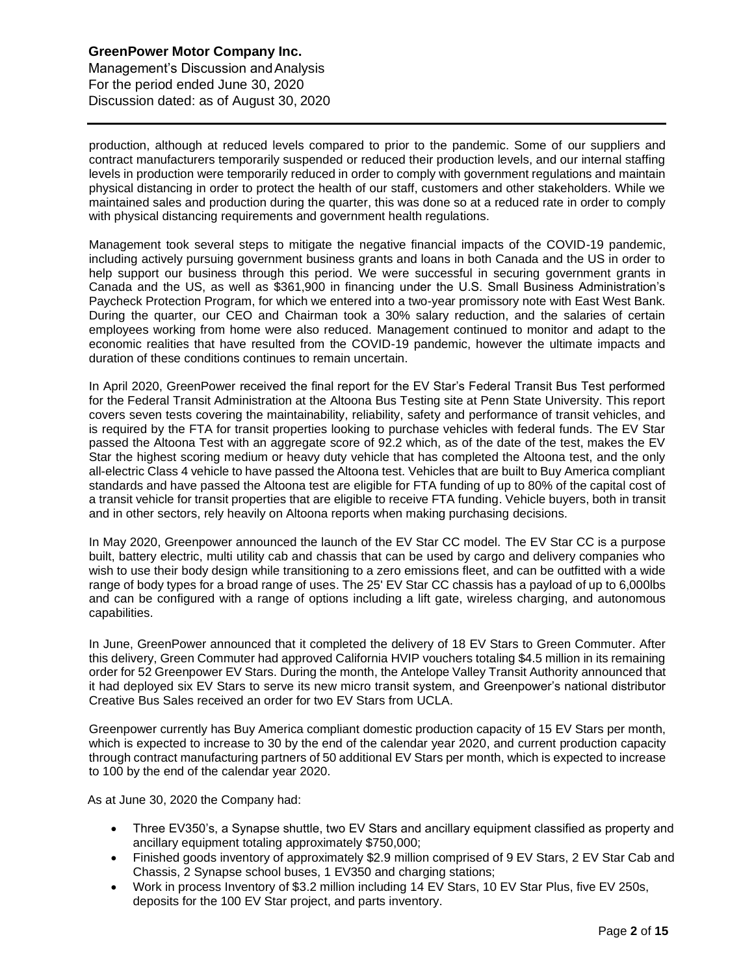Management's Discussion andAnalysis For the period ended June 30, 2020 Discussion dated: as of August 30, 2020

production, although at reduced levels compared to prior to the pandemic. Some of our suppliers and contract manufacturers temporarily suspended or reduced their production levels, and our internal staffing levels in production were temporarily reduced in order to comply with government regulations and maintain physical distancing in order to protect the health of our staff, customers and other stakeholders. While we maintained sales and production during the quarter, this was done so at a reduced rate in order to comply with physical distancing requirements and government health regulations.

Management took several steps to mitigate the negative financial impacts of the COVID-19 pandemic, including actively pursuing government business grants and loans in both Canada and the US in order to help support our business through this period. We were successful in securing government grants in Canada and the US, as well as \$361,900 in financing under the U.S. Small Business Administration's Paycheck Protection Program, for which we entered into a two-year promissory note with East West Bank. During the quarter, our CEO and Chairman took a 30% salary reduction, and the salaries of certain employees working from home were also reduced. Management continued to monitor and adapt to the economic realities that have resulted from the COVID-19 pandemic, however the ultimate impacts and duration of these conditions continues to remain uncertain.

In April 2020, GreenPower received the final report for the EV Star's Federal Transit Bus Test performed for the Federal Transit Administration at the Altoona Bus Testing site at Penn State University. This report covers seven tests covering the maintainability, reliability, safety and performance of transit vehicles, and is required by the FTA for transit properties looking to purchase vehicles with federal funds. The EV Star passed the Altoona Test with an aggregate score of 92.2 which, as of the date of the test, makes the EV Star the highest scoring medium or heavy duty vehicle that has completed the Altoona test, and the only all-electric Class 4 vehicle to have passed the Altoona test. Vehicles that are built to Buy America compliant standards and have passed the Altoona test are eligible for FTA funding of up to 80% of the capital cost of a transit vehicle for transit properties that are eligible to receive FTA funding. Vehicle buyers, both in transit and in other sectors, rely heavily on Altoona reports when making purchasing decisions.

In May 2020, Greenpower announced the launch of the EV Star CC model. The EV Star CC is a purpose built, battery electric, multi utility cab and chassis that can be used by cargo and delivery companies who wish to use their body design while transitioning to a zero emissions fleet, and can be outfitted with a wide range of body types for a broad range of uses. The 25' EV Star CC chassis has a payload of up to 6,000lbs and can be configured with a range of options including a lift gate, wireless charging, and autonomous capabilities.

In June, GreenPower announced that it completed the delivery of 18 EV Stars to Green Commuter. After this delivery, Green Commuter had approved California HVIP vouchers totaling \$4.5 million in its remaining order for 52 Greenpower EV Stars. During the month, the Antelope Valley Transit Authority announced that it had deployed six EV Stars to serve its new micro transit system, and Greenpower's national distributor Creative Bus Sales received an order for two EV Stars from UCLA.

Greenpower currently has Buy America compliant domestic production capacity of 15 EV Stars per month, which is expected to increase to 30 by the end of the calendar year 2020, and current production capacity through contract manufacturing partners of 50 additional EV Stars per month, which is expected to increase to 100 by the end of the calendar year 2020.

As at June 30, 2020 the Company had:

- Three EV350's, a Synapse shuttle, two EV Stars and ancillary equipment classified as property and ancillary equipment totaling approximately \$750,000;
- Finished goods inventory of approximately \$2.9 million comprised of 9 EV Stars, 2 EV Star Cab and Chassis, 2 Synapse school buses, 1 EV350 and charging stations;
- Work in process Inventory of \$3.2 million including 14 EV Stars, 10 EV Star Plus, five EV 250s, deposits for the 100 EV Star project, and parts inventory.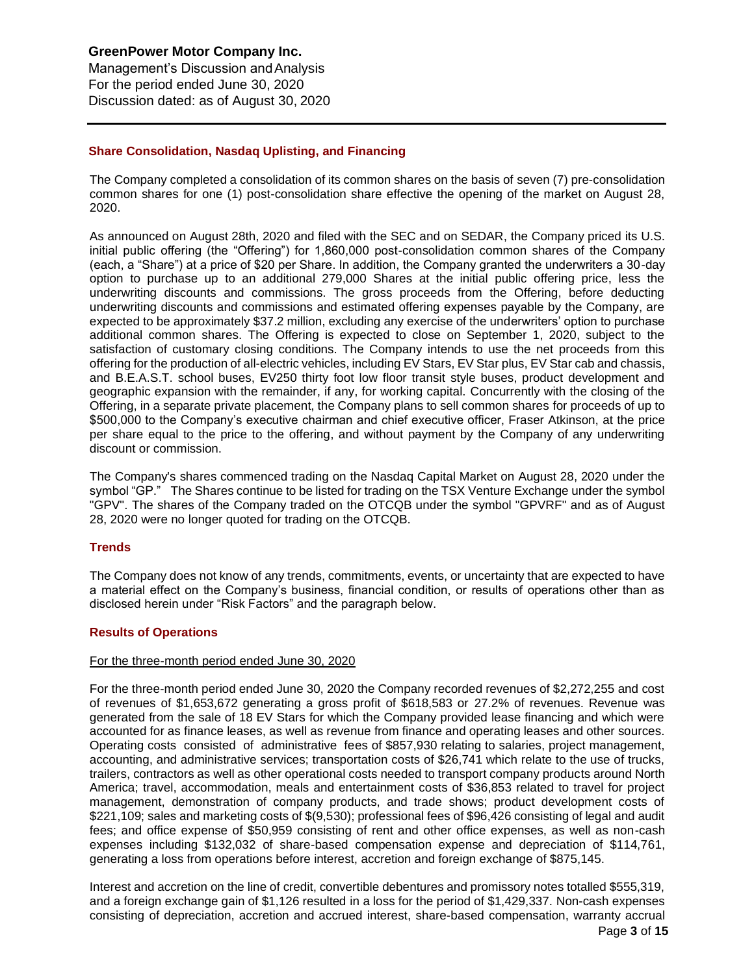Management's Discussion andAnalysis For the period ended June 30, 2020 Discussion dated: as of August 30, 2020

# **Share Consolidation, Nasdaq Uplisting, and Financing**

The Company completed a consolidation of its common shares on the basis of seven (7) pre-consolidation common shares for one (1) post-consolidation share effective the opening of the market on August 28, 2020.

As announced on August 28th, 2020 and filed with the SEC and on SEDAR, the Company priced its U.S. initial public offering (the "Offering") for 1,860,000 post-consolidation common shares of the Company (each, a "Share") at a price of \$20 per Share. In addition, the Company granted the underwriters a 30-day option to purchase up to an additional 279,000 Shares at the initial public offering price, less the underwriting discounts and commissions. The gross proceeds from the Offering, before deducting underwriting discounts and commissions and estimated offering expenses payable by the Company, are expected to be approximately \$37.2 million, excluding any exercise of the underwriters' option to purchase additional common shares. The Offering is expected to close on September 1, 2020, subject to the satisfaction of customary closing conditions. The Company intends to use the net proceeds from this offering for the production of all-electric vehicles, including EV Stars, EV Star plus, EV Star cab and chassis, and B.E.A.S.T. school buses, EV250 thirty foot low floor transit style buses, product development and geographic expansion with the remainder, if any, for working capital. Concurrently with the closing of the Offering, in a separate private placement, the Company plans to sell common shares for proceeds of up to \$500,000 to the Company's executive chairman and chief executive officer, Fraser Atkinson, at the price per share equal to the price to the offering, and without payment by the Company of any underwriting discount or commission.

The Company's shares commenced trading on the Nasdaq Capital Market on August 28, 2020 under the symbol "GP." The Shares continue to be listed for trading on the TSX Venture Exchange under the symbol "GPV". The shares of the Company traded on the OTCQB under the symbol "GPVRF" and as of August 28, 2020 were no longer quoted for trading on the OTCQB.

# **Trends**

The Company does not know of any trends, commitments, events, or uncertainty that are expected to have a material effect on the Company's business, financial condition, or results of operations other than as disclosed herein under "Risk Factors" and the paragraph below.

# **Results of Operations**

## For the three-month period ended June 30, 2020

For the three-month period ended June 30, 2020 the Company recorded revenues of \$2,272,255 and cost of revenues of \$1,653,672 generating a gross profit of \$618,583 or 27.2% of revenues. Revenue was generated from the sale of 18 EV Stars for which the Company provided lease financing and which were accounted for as finance leases, as well as revenue from finance and operating leases and other sources. Operating costs consisted of administrative fees of \$857,930 relating to salaries, project management, accounting, and administrative services; transportation costs of \$26,741 which relate to the use of trucks, trailers, contractors as well as other operational costs needed to transport company products around North America; travel, accommodation, meals and entertainment costs of \$36,853 related to travel for project management, demonstration of company products, and trade shows; product development costs of \$221,109; sales and marketing costs of \$(9,530); professional fees of \$96,426 consisting of legal and audit fees; and office expense of \$50,959 consisting of rent and other office expenses, as well as non-cash expenses including \$132,032 of share-based compensation expense and depreciation of \$114,761, generating a loss from operations before interest, accretion and foreign exchange of \$875,145.

Interest and accretion on the line of credit, convertible debentures and promissory notes totalled \$555,319, and a foreign exchange gain of \$1,126 resulted in a loss for the period of \$1,429,337. Non-cash expenses consisting of depreciation, accretion and accrued interest, share-based compensation, warranty accrual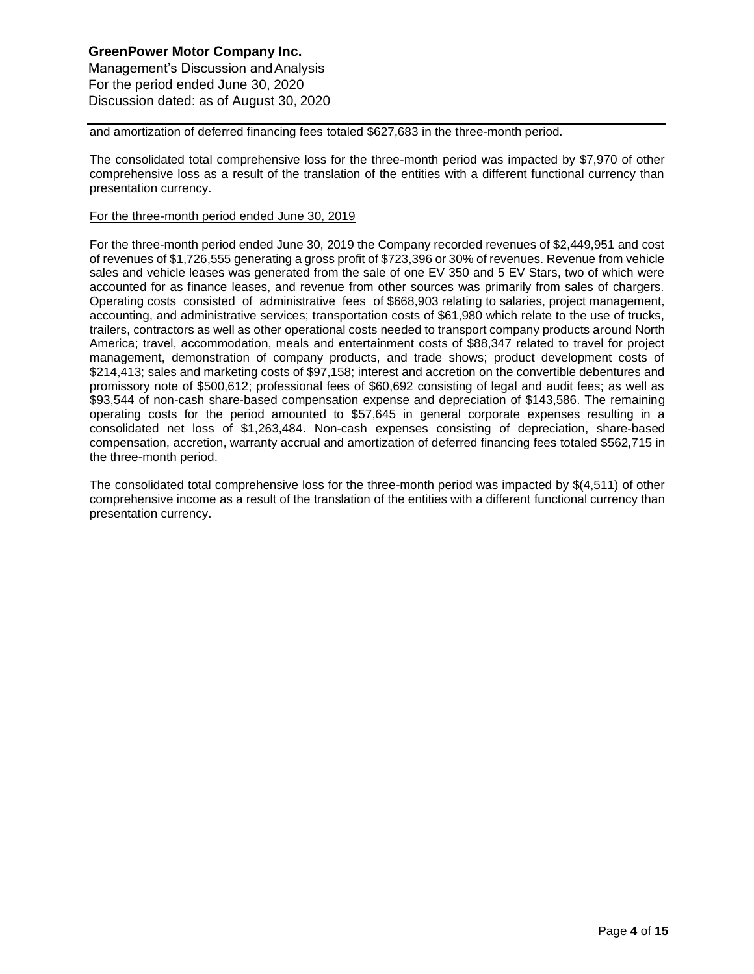# **GreenPower Motor Company Inc.**  Management's Discussion andAnalysis For the period ended June 30, 2020 Discussion dated: as of August 30, 2020

and amortization of deferred financing fees totaled \$627,683 in the three-month period.

The consolidated total comprehensive loss for the three-month period was impacted by \$7,970 of other comprehensive loss as a result of the translation of the entities with a different functional currency than presentation currency.

# For the three-month period ended June 30, 2019

For the three-month period ended June 30, 2019 the Company recorded revenues of \$2,449,951 and cost of revenues of \$1,726,555 generating a gross profit of \$723,396 or 30% of revenues. Revenue from vehicle sales and vehicle leases was generated from the sale of one EV 350 and 5 EV Stars, two of which were accounted for as finance leases, and revenue from other sources was primarily from sales of chargers. Operating costs consisted of administrative fees of \$668,903 relating to salaries, project management, accounting, and administrative services; transportation costs of \$61,980 which relate to the use of trucks, trailers, contractors as well as other operational costs needed to transport company products around North America; travel, accommodation, meals and entertainment costs of \$88,347 related to travel for project management, demonstration of company products, and trade shows; product development costs of \$214,413; sales and marketing costs of \$97,158; interest and accretion on the convertible debentures and promissory note of \$500,612; professional fees of \$60,692 consisting of legal and audit fees; as well as \$93,544 of non-cash share-based compensation expense and depreciation of \$143,586. The remaining operating costs for the period amounted to \$57,645 in general corporate expenses resulting in a consolidated net loss of \$1,263,484. Non-cash expenses consisting of depreciation, share-based compensation, accretion, warranty accrual and amortization of deferred financing fees totaled \$562,715 in the three-month period.

The consolidated total comprehensive loss for the three-month period was impacted by \$(4,511) of other comprehensive income as a result of the translation of the entities with a different functional currency than presentation currency.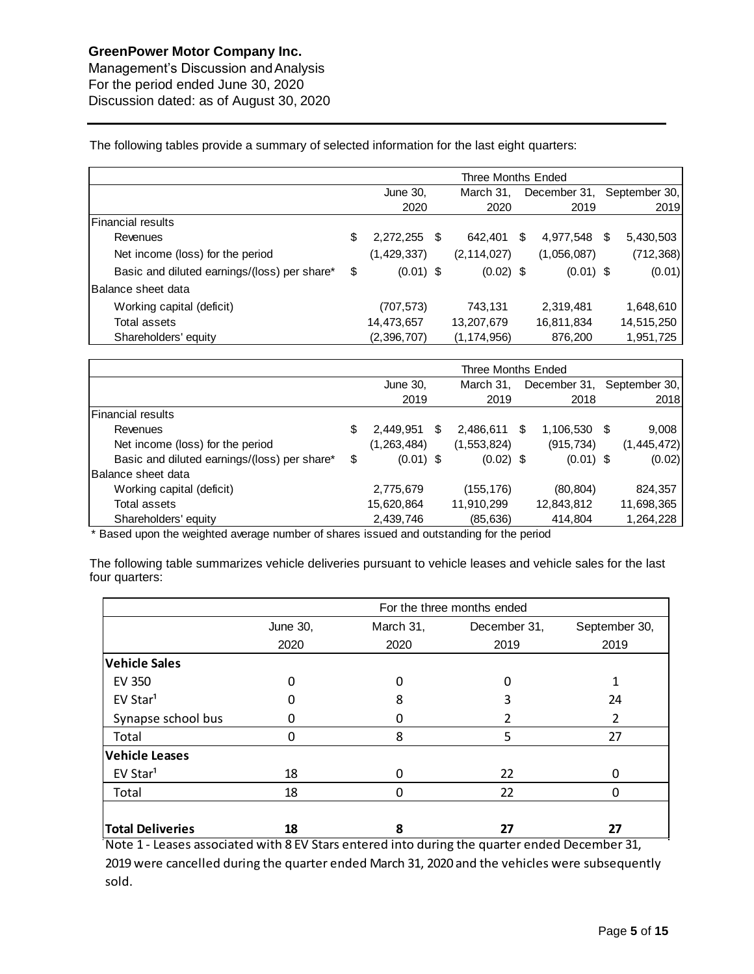Management's Discussion andAnalysis For the period ended June 30, 2020 Discussion dated: as of August 30, 2020

The following tables provide a summary of selected information for the last eight quarters:

|                                              | Three Months Ended |                       |  |               |   |             |    |                            |  |
|----------------------------------------------|--------------------|-----------------------|--|---------------|---|-------------|----|----------------------------|--|
|                                              |                    | March 31,<br>June 30, |  |               |   |             |    | December 31, September 30, |  |
|                                              |                    | 2020                  |  | 2020          |   | 2019        |    | 2019                       |  |
| Financial results                            |                    |                       |  |               |   |             |    |                            |  |
| Revenues                                     | \$                 | $2,272,255$ \$        |  | 642.401       | S | 4,977,548   | S. | 5,430,503                  |  |
| Net income (loss) for the period             |                    | (1,429,337)           |  | (2, 114, 027) |   | (1,056,087) |    | (712, 368)                 |  |
| Basic and diluted earnings/(loss) per share* | \$                 | $(0.01)$ \$           |  | $(0.02)$ \$   |   | $(0.01)$ \$ |    | (0.01)                     |  |
| lBalance sheet data                          |                    |                       |  |               |   |             |    |                            |  |
| Working capital (deficit)                    |                    | (707, 573)            |  | 743,131       |   | 2,319,481   |    | 1,648,610                  |  |
| Total assets                                 |                    | 14,473,657            |  | 13,207,679    |   | 16,811,834  |    | 14,515,250                 |  |
| Shareholders' equity                         |                    | (2,396,707)           |  | (1, 174, 956) |   | 876,200     |    | 1,951,725                  |  |

|                                              | Three Months Ended |             |    |             |      |                            |    |             |
|----------------------------------------------|--------------------|-------------|----|-------------|------|----------------------------|----|-------------|
|                                              | June 30,           |             |    | March 31.   |      | December 31, September 30, |    |             |
|                                              |                    | 2019        |    | 2019        |      | 2018                       |    | 2018        |
| Financial results                            |                    |             |    |             |      |                            |    |             |
| Revenues                                     | \$                 | 2,449,951   | S. | 2,486,611   | - SS | 1,106,530                  | -S | 9,008       |
| Net income (loss) for the period             |                    | (1,263,484) |    | (1,553,824) |      | (915, 734)                 |    | (1,445,472) |
| Basic and diluted earnings/(loss) per share* | \$                 | $(0.01)$ \$ |    | $(0.02)$ \$ |      | $(0.01)$ \$                |    | (0.02)      |
| Balance sheet data                           |                    |             |    |             |      |                            |    |             |
| Working capital (deficit)                    |                    | 2,775,679   |    | (155,176)   |      | (80, 804)                  |    | 824,357     |
| Total assets                                 |                    | 15,620,864  |    | 11,910,299  |      | 12,843,812                 |    | 11,698,365  |
| Shareholders' equity                         |                    | 2,439,746   |    | (85, 636)   |      | 414,804                    |    | 1,264,228   |

\* Based upon the weighted average number of shares issued and outstanding for the period

The following table summarizes vehicle deliveries pursuant to vehicle leases and vehicle sales for the last four quarters:

|                         | For the three months ended |           |              |               |  |  |  |
|-------------------------|----------------------------|-----------|--------------|---------------|--|--|--|
|                         | <b>June 30,</b>            | March 31, | December 31, | September 30, |  |  |  |
|                         | 2020                       | 2020      | 2019         | 2019          |  |  |  |
| <b>Vehicle Sales</b>    |                            |           |              |               |  |  |  |
| <b>EV 350</b>           | 0                          | 0         | 0            |               |  |  |  |
| EV Star <sup>1</sup>    |                            | 8         | 3            | 24            |  |  |  |
| Synapse school bus      |                            |           |              | 2             |  |  |  |
| Total                   | ი                          | 8         | 5            | 27            |  |  |  |
| <b>Vehicle Leases</b>   |                            |           |              |               |  |  |  |
| EV Star <sup>1</sup>    | 18                         | 0         | 22           | 0             |  |  |  |
| Total                   | 18                         | ი         | 22           | 0             |  |  |  |
|                         |                            |           |              |               |  |  |  |
| <b>Total Deliveries</b> | 18                         | 8         | 27           | 27            |  |  |  |

Note 1 - Leases associated with 8 EV Stars entered into during the quarter ended December 31, 2019 were cancelled during the quarter ended March 31, 2020 and the vehicles were subsequently sold.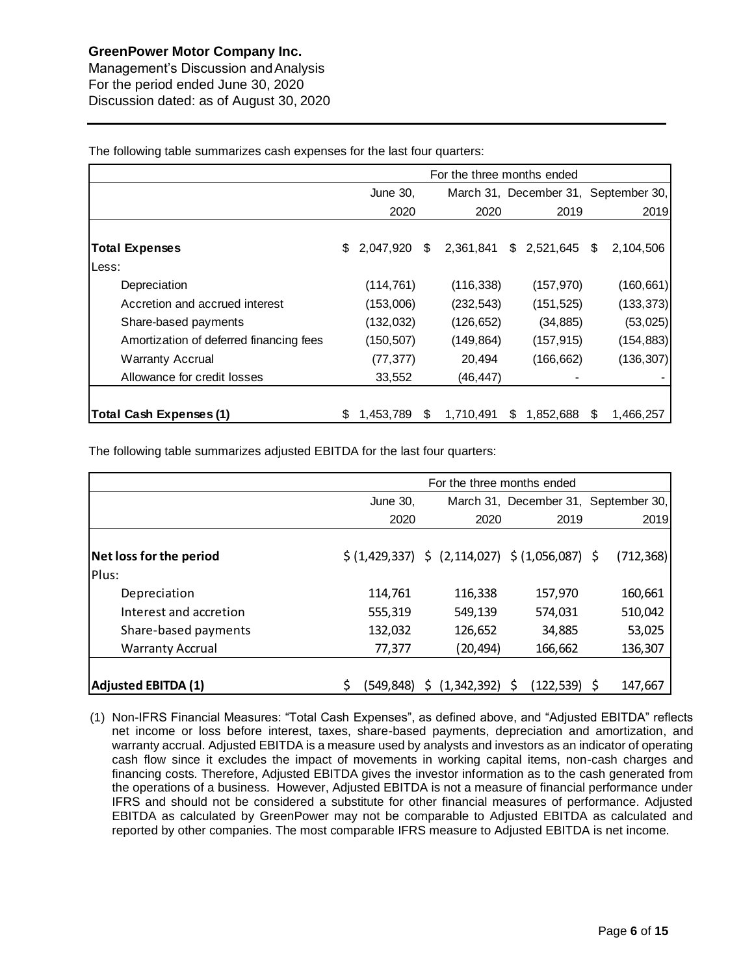Management's Discussion andAnalysis For the period ended June 30, 2020 Discussion dated: as of August 30, 2020

June 30, March 31, December 31, September 30, 2020 2020 2019 2019 **Total Expenses** \$ 2,047,920 \$ 2,361,841 \$ 2,521,645 \$ 2,104,506 Less: Depreciation (114,761) (116,338) (157,970) (160,661) Accretion and accrued interest (153,006) (232,543) (151,525) (133,373) Share-based payments (132,032) (126,652) (34,885) (53,025) Amortization of deferred financing fees (150,507) (149,864) (157,915) (154,883) Warranty Accrual (77,377) 20,494 (166,662) (136,307) Allowance for credit losses 33,552 (46,447) **Total Cash Expenses (1)** \$ 1,453,789 \$ 1,710,491 \$ 1,852,688 \$ 1,466,257 For the three months ended

The following table summarizes cash expenses for the last four quarters:

The following table summarizes adjusted EBITDA for the last four quarters:

|                            | For the three months ended |           |  |             |                                                                  |                                      |  |  |
|----------------------------|----------------------------|-----------|--|-------------|------------------------------------------------------------------|--------------------------------------|--|--|
|                            | June 30,                   |           |  |             |                                                                  | March 31, December 31, September 30, |  |  |
|                            |                            | 2020      |  | 2020        | 2019                                                             | 2019                                 |  |  |
| Net loss for the period    |                            |           |  |             | $\zeta(1,429,337)$ $\zeta(2,114,027)$ $\zeta(1,056,087)$ $\zeta$ | (712, 368)                           |  |  |
| Plus:                      |                            |           |  |             |                                                                  |                                      |  |  |
| Depreciation               |                            | 114.761   |  | 116,338     | 157,970                                                          | 160,661                              |  |  |
| Interest and accretion     |                            | 555,319   |  | 549,139     | 574,031                                                          | 510,042                              |  |  |
| Share-based payments       |                            | 132,032   |  | 126,652     | 34,885                                                           | 53,025                               |  |  |
| <b>Warranty Accrual</b>    |                            | 77,377    |  | (20, 494)   | 166,662                                                          | 136,307                              |  |  |
|                            |                            |           |  |             |                                                                  |                                      |  |  |
| <b>Adjusted EBITDA (1)</b> |                            | (549,848) |  | (1,342,392) | $(122, 539)$ \$<br>S                                             | 147,667                              |  |  |

(1) Non-IFRS Financial Measures: "Total Cash Expenses", as defined above, and "Adjusted EBITDA" reflects net income or loss before interest, taxes, share-based payments, depreciation and amortization, and warranty accrual. Adjusted EBITDA is a measure used by analysts and investors as an indicator of operating cash flow since it excludes the impact of movements in working capital items, non-cash charges and financing costs. Therefore, Adjusted EBITDA gives the investor information as to the cash generated from the operations of a business. However, Adjusted EBITDA is not a measure of financial performance under IFRS and should not be considered a substitute for other financial measures of performance. Adjusted EBITDA as calculated by GreenPower may not be comparable to Adjusted EBITDA as calculated and reported by other companies. The most comparable IFRS measure to Adjusted EBITDA is net income.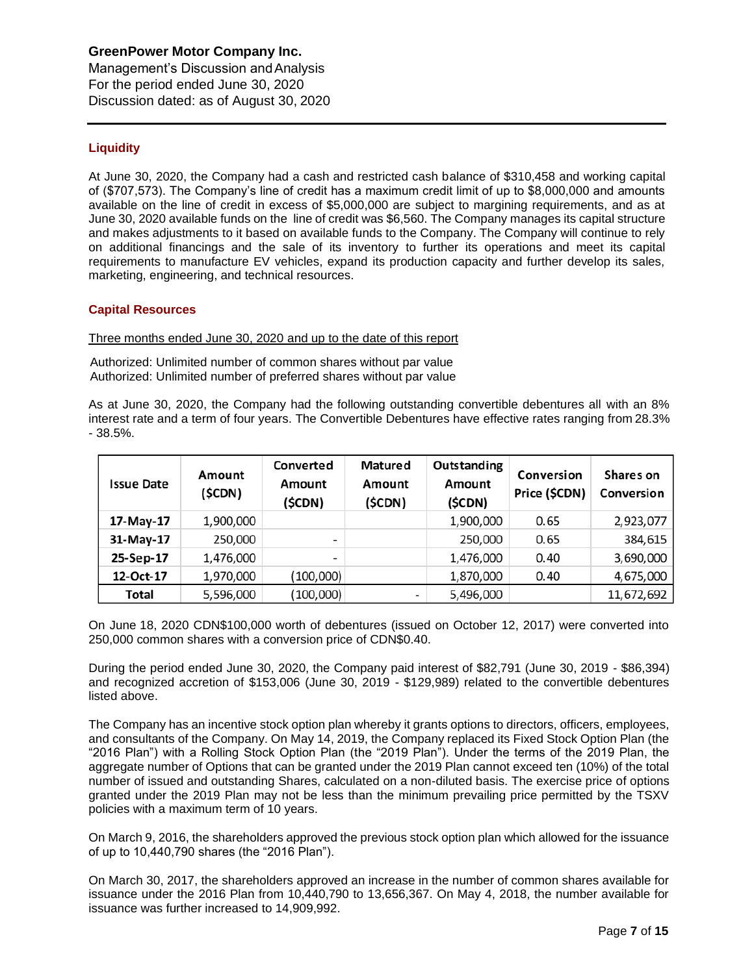Management's Discussion andAnalysis For the period ended June 30, 2020 Discussion dated: as of August 30, 2020

# **Liquidity**

At June 30, 2020, the Company had a cash and restricted cash balance of \$310,458 and working capital of (\$707,573). The Company's line of credit has a maximum credit limit of up to \$8,000,000 and amounts available on the line of credit in excess of \$5,000,000 are subject to margining requirements, and as at June 30, 2020 available funds on the line of credit was \$6,560. The Company manages its capital structure and makes adjustments to it based on available funds to the Company. The Company will continue to rely on additional financings and the sale of its inventory to further its operations and meet its capital requirements to manufacture EV vehicles, expand its production capacity and further develop its sales, marketing, engineering, and technical resources.

# **Capital Resources**

Three months ended June 30, 2020 and up to the date of this report

Authorized: Unlimited number of common shares without par value Authorized: Unlimited number of preferred shares without par value

As at June 30, 2020, the Company had the following outstanding convertible debentures all with an 8% interest rate and a term of four years. The Convertible Debentures have effective rates ranging from 28.3% - 38.5%.

| <b>Issue Date</b> | Amount<br>(\$CDN) | Converted<br>Amount<br>(\$CDN) | Matured<br>Amount<br>(SCDN) | Outstanding<br>Amount<br>(\$CDN) | Conversion<br>Price (\$CDN) | Shares on<br>Conversion |
|-------------------|-------------------|--------------------------------|-----------------------------|----------------------------------|-----------------------------|-------------------------|
| 17-May-17         | 1,900,000         |                                |                             | 1,900,000                        | 0.65                        | 2,923,077               |
| 31-May-17         | 250,000           | -                              |                             | 250,000                          | 0.65                        | 384,615                 |
| 25-Sep-17         | 1,476,000         |                                |                             | 1,476,000                        | 0.40                        | 3,690,000               |
| 12-Oct-17         | 1,970,000         | (100,000)                      |                             | 1,870,000                        | 0.40                        | 4,675,000               |
| Total             | 5,596,000         | (100,000)                      |                             | 5,496,000                        |                             | 11,672,692              |

On June 18, 2020 CDN\$100,000 worth of debentures (issued on October 12, 2017) were converted into 250,000 common shares with a conversion price of CDN\$0.40.

During the period ended June 30, 2020, the Company paid interest of \$82,791 (June 30, 2019 - \$86,394) and recognized accretion of \$153,006 (June 30, 2019 - \$129,989) related to the convertible debentures listed above.

The Company has an incentive stock option plan whereby it grants options to directors, officers, employees, and consultants of the Company. On May 14, 2019, the Company replaced its Fixed Stock Option Plan (the "2016 Plan") with a Rolling Stock Option Plan (the "2019 Plan"). Under the terms of the 2019 Plan, the aggregate number of Options that can be granted under the 2019 Plan cannot exceed ten (10%) of the total number of issued and outstanding Shares, calculated on a non-diluted basis. The exercise price of options granted under the 2019 Plan may not be less than the minimum prevailing price permitted by the TSXV policies with a maximum term of 10 years.

On March 9, 2016, the shareholders approved the previous stock option plan which allowed for the issuance of up to 10,440,790 shares (the "2016 Plan").

On March 30, 2017, the shareholders approved an increase in the number of common shares available for issuance under the 2016 Plan from 10,440,790 to 13,656,367. On May 4, 2018, the number available for issuance was further increased to 14,909,992.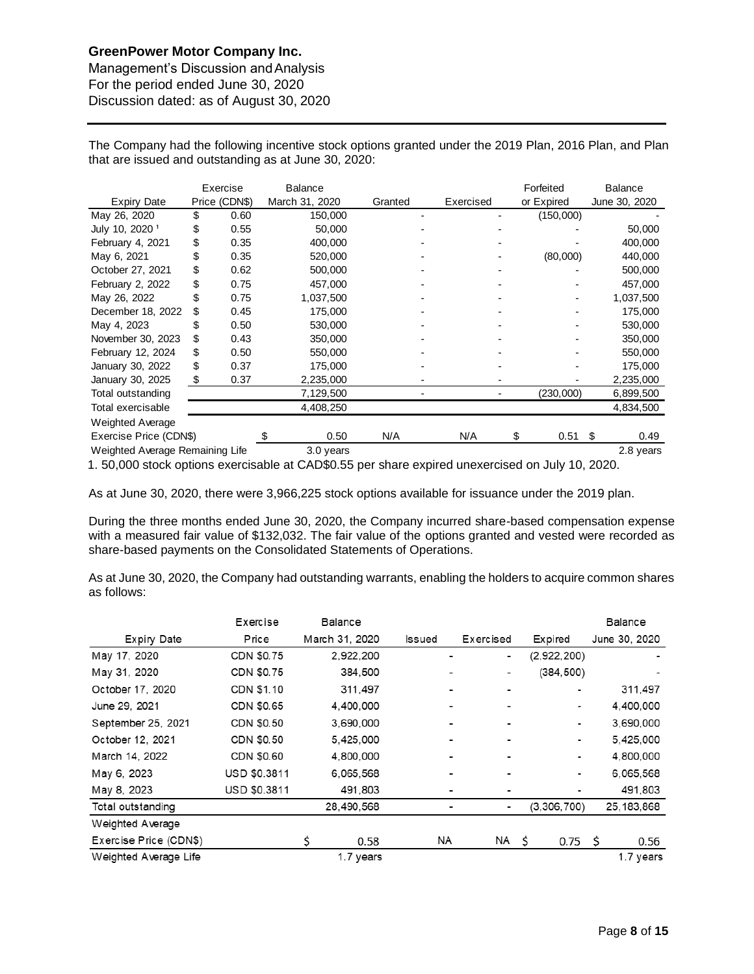Management's Discussion andAnalysis For the period ended June 30, 2020 Discussion dated: as of August 30, 2020

The Company had the following incentive stock options granted under the 2019 Plan, 2016 Plan, and Plan that are issued and outstanding as at June 30, 2020:

|                                 |    | Exercise      | <b>Balance</b> |         |           |    | Forfeited  |    | <b>Balance</b> |
|---------------------------------|----|---------------|----------------|---------|-----------|----|------------|----|----------------|
| <b>Expiry Date</b>              |    | Price (CDN\$) | March 31, 2020 | Granted | Exercised |    | or Expired |    | June 30, 2020  |
| May 26, 2020                    | \$ | 0.60          | 150,000        |         |           |    | (150,000)  |    |                |
| July 10, 2020 <sup>1</sup>      | \$ | 0.55          | 50,000         |         |           |    |            |    | 50,000         |
| February 4, 2021                | \$ | 0.35          | 400,000        |         |           |    |            |    | 400,000        |
| May 6, 2021                     | \$ | 0.35          | 520,000        |         |           |    | (80,000)   |    | 440,000        |
| October 27, 2021                | \$ | 0.62          | 500,000        |         |           |    |            |    | 500,000        |
| February 2, 2022                | \$ | 0.75          | 457,000        |         |           |    |            |    | 457,000        |
| May 26, 2022                    | \$ | 0.75          | 1,037,500      |         |           |    |            |    | 1,037,500      |
| December 18, 2022               | \$ | 0.45          | 175,000        |         |           |    |            |    | 175,000        |
| May 4, 2023                     | \$ | 0.50          | 530,000        |         |           |    |            |    | 530,000        |
| November 30, 2023               | \$ | 0.43          | 350,000        |         |           |    |            |    | 350,000        |
| February 12, 2024               | \$ | 0.50          | 550,000        |         |           |    |            |    | 550,000        |
| January 30, 2022                | \$ | 0.37          | 175,000        |         |           |    |            |    | 175,000        |
| January 30, 2025                | \$ | 0.37          | 2,235,000      |         |           |    |            |    | 2,235,000      |
| Total outstanding               |    |               | 7,129,500      |         |           |    | (230,000)  |    | 6,899,500      |
| Total exercisable               |    |               | 4,408,250      |         |           |    |            |    | 4,834,500      |
| <b>Weighted Average</b>         |    |               |                |         |           |    |            |    |                |
| Exercise Price (CDN\$)          |    |               | 0.50           | N/A     | N/A       | \$ | 0.51       | \$ | 0.49           |
| Weighted Average Remaining Life |    |               | 3.0 years      |         |           |    |            |    | 2.8 years      |

1. 50,000 stock options exercisable at CAD\$0.55 per share expired unexercised on July 10, 2020.

As at June 30, 2020, there were 3,966,225 stock options available for issuance under the 2019 plan.

During the three months ended June 30, 2020, the Company incurred share-based compensation expense with a measured fair value of \$132,032. The fair value of the options granted and vested were recorded as share-based payments on the Consolidated Statements of Operations.

As at June 30, 2020, the Company had outstanding warrants, enabling the holders to acquire common shares as follows:

|                        | Exercise     |   | Balance        |        |                |     |                |    | Balance       |
|------------------------|--------------|---|----------------|--------|----------------|-----|----------------|----|---------------|
| Expiry Date            | Price        |   | March 31, 2020 | Issued | Exercised      |     | Expired        |    | June 30, 2020 |
| May 17, 2020           | CDN \$0.75   |   | 2.922.200      |        | ۰              |     | (2,922,200)    |    |               |
| May 31, 2020           | CDN \$0.75   |   | 384,500        |        | ۰              |     | (384, 500)     |    |               |
| October 17, 2020       | CDN \$1.10   |   | 311,497        |        |                |     | ٠              |    | 311,497       |
| June 29, 2021          | CDN \$0.65   |   | 4,400,000      |        |                |     | ۰              |    | 4,400,000     |
| September 25, 2021     | CDN \$0.50   |   | 3.690.000      |        | $\blacksquare$ |     | $\blacksquare$ |    | 3.690.000     |
| October 12, 2021       | CDN \$0.50   |   | 5.425.000      |        | -              |     | $\blacksquare$ |    | 5,425,000     |
| March 14, 2022         | CDN \$0.60   |   | 4,800,000      |        | ۰              |     | $\blacksquare$ |    | 4,800,000     |
| May 6, 2023            | USD \$0.3811 |   | 6.065.568      |        | -              |     | -              |    | 6.065.568     |
| May 8, 2023            | USD \$0.3811 |   | 491,803        |        |                |     |                |    | 491,803       |
| Total outstanding      |              |   | 28,490,568     |        | -              |     | (3,306,700)    |    | 25, 183, 868  |
| Weighted Average       |              |   |                |        |                |     |                |    |               |
| Exercise Price (CDN\$) |              | Ś | 0.58           | NA     | NA             | - Ś | 0.75           | Ś. | 0.56          |
| Weighted Average Life  |              |   | 1.7 years      |        |                |     |                |    | 1.7 years     |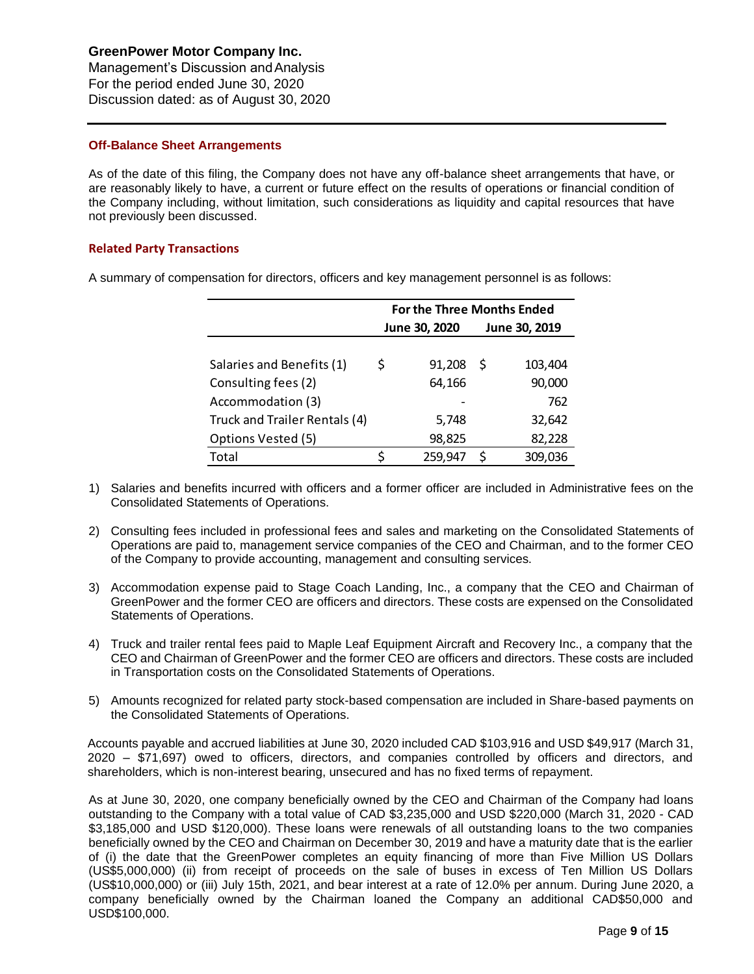Management's Discussion andAnalysis For the period ended June 30, 2020 Discussion dated: as of August 30, 2020

# **Off-Balance Sheet Arrangements**

As of the date of this filing, the Company does not have any off-balance sheet arrangements that have, or are reasonably likely to have, a current or future effect on the results of operations or financial condition of the Company including, without limitation, such considerations as liquidity and capital resources that have not previously been discussed.

# **Related Party Transactions**

A summary of compensation for directors, officers and key management personnel is as follows:

|                               | <b>For the Three Months Ended</b> |               |   |               |  |  |  |  |
|-------------------------------|-----------------------------------|---------------|---|---------------|--|--|--|--|
|                               |                                   | June 30, 2020 |   | June 30, 2019 |  |  |  |  |
|                               |                                   |               |   |               |  |  |  |  |
| Salaries and Benefits (1)     | S                                 | 91,208        | S | 103,404       |  |  |  |  |
| Consulting fees (2)           |                                   | 64,166        |   | 90,000        |  |  |  |  |
| Accommodation (3)             |                                   |               |   | 762           |  |  |  |  |
| Truck and Trailer Rentals (4) |                                   | 5,748         |   | 32,642        |  |  |  |  |
| Options Vested (5)            |                                   | 98,825        |   | 82,228        |  |  |  |  |
| Total                         |                                   | 259,947       | ς | 309,036       |  |  |  |  |

- 1) Salaries and benefits incurred with officers and a former officer are included in Administrative fees on the Consolidated Statements of Operations.
- 2) Consulting fees included in professional fees and sales and marketing on the Consolidated Statements of Operations are paid to, management service companies of the CEO and Chairman, and to the former CEO of the Company to provide accounting, management and consulting services.
- 3) Accommodation expense paid to Stage Coach Landing, Inc., a company that the CEO and Chairman of GreenPower and the former CEO are officers and directors. These costs are expensed on the Consolidated Statements of Operations.
- 4) Truck and trailer rental fees paid to Maple Leaf Equipment Aircraft and Recovery Inc., a company that the CEO and Chairman of GreenPower and the former CEO are officers and directors. These costs are included in Transportation costs on the Consolidated Statements of Operations.
- 5) Amounts recognized for related party stock-based compensation are included in Share-based payments on the Consolidated Statements of Operations.

Accounts payable and accrued liabilities at June 30, 2020 included CAD \$103,916 and USD \$49,917 (March 31, 2020 – \$71,697) owed to officers, directors, and companies controlled by officers and directors, and shareholders, which is non-interest bearing, unsecured and has no fixed terms of repayment.

As at June 30, 2020, one company beneficially owned by the CEO and Chairman of the Company had loans outstanding to the Company with a total value of CAD \$3,235,000 and USD \$220,000 (March 31, 2020 - CAD \$3,185,000 and USD \$120,000). These loans were renewals of all outstanding loans to the two companies beneficially owned by the CEO and Chairman on December 30, 2019 and have a maturity date that is the earlier of (i) the date that the GreenPower completes an equity financing of more than Five Million US Dollars (US\$5,000,000) (ii) from receipt of proceeds on the sale of buses in excess of Ten Million US Dollars (US\$10,000,000) or (iii) July 15th, 2021, and bear interest at a rate of 12.0% per annum. During June 2020, a company beneficially owned by the Chairman loaned the Company an additional CAD\$50,000 and USD\$100,000.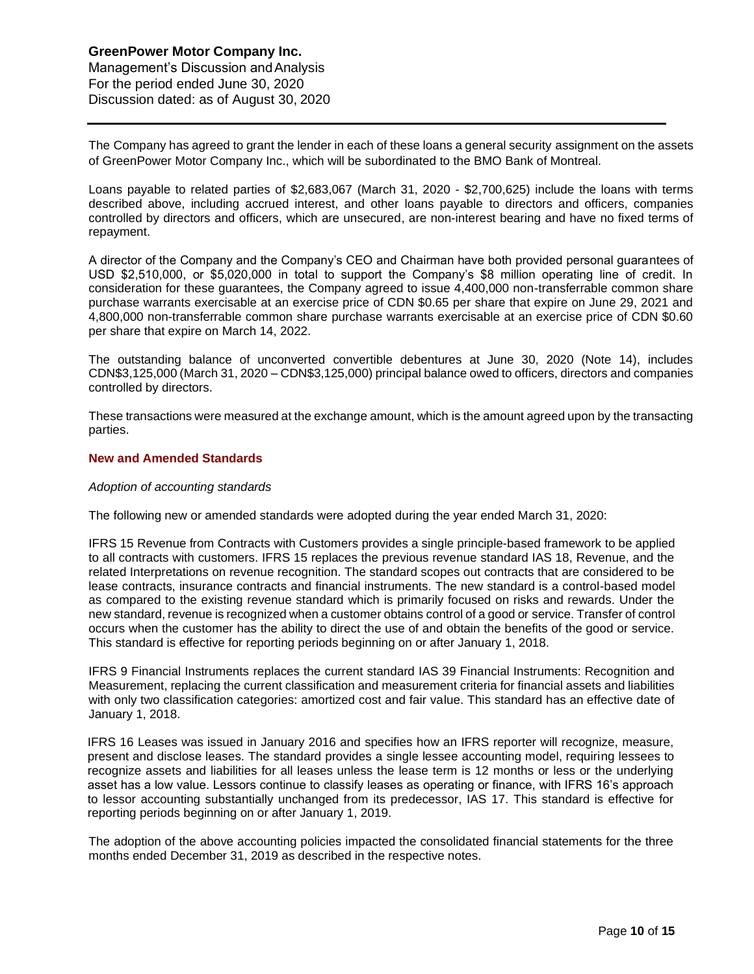The Company has agreed to grant the lender in each of these loans a general security assignment on the assets of GreenPower Motor Company Inc., which will be subordinated to the BMO Bank of Montreal.

Loans payable to related parties of \$2,683,067 (March 31, 2020 - \$2,700,625) include the loans with terms described above, including accrued interest, and other loans payable to directors and officers, companies controlled by directors and officers, which are unsecured, are non-interest bearing and have no fixed terms of repayment.

A director of the Company and the Company's CEO and Chairman have both provided personal guarantees of USD \$2,510,000, or \$5,020,000 in total to support the Company's \$8 million operating line of credit. In consideration for these guarantees, the Company agreed to issue 4,400,000 non-transferrable common share purchase warrants exercisable at an exercise price of CDN \$0.65 per share that expire on June 29, 2021 and 4,800,000 non-transferrable common share purchase warrants exercisable at an exercise price of CDN \$0.60 per share that expire on March 14, 2022.

The outstanding balance of unconverted convertible debentures at June 30, 2020 (Note 14), includes CDN\$3,125,000 (March 31, 2020 – CDN\$3,125,000) principal balance owed to officers, directors and companies controlled by directors.

These transactions were measured at the exchange amount, which is the amount agreed upon by the transacting parties.

## **New and Amended Standards**

#### *Adoption of accounting standards*

The following new or amended standards were adopted during the year ended March 31, 2020:

IFRS 15 Revenue from Contracts with Customers provides a single principle-based framework to be applied to all contracts with customers. IFRS 15 replaces the previous revenue standard IAS 18, Revenue, and the related Interpretations on revenue recognition. The standard scopes out contracts that are considered to be lease contracts, insurance contracts and financial instruments. The new standard is a control-based model as compared to the existing revenue standard which is primarily focused on risks and rewards. Under the new standard, revenue is recognized when a customer obtains control of a good or service. Transfer of control occurs when the customer has the ability to direct the use of and obtain the benefits of the good or service. This standard is effective for reporting periods beginning on or after January 1, 2018.

IFRS 9 Financial Instruments replaces the current standard IAS 39 Financial Instruments: Recognition and Measurement, replacing the current classification and measurement criteria for financial assets and liabilities with only two classification categories: amortized cost and fair value. This standard has an effective date of January 1, 2018.

IFRS 16 Leases was issued in January 2016 and specifies how an IFRS reporter will recognize, measure, present and disclose leases. The standard provides a single lessee accounting model, requiring lessees to recognize assets and liabilities for all leases unless the lease term is 12 months or less or the underlying asset has a low value. Lessors continue to classify leases as operating or finance, with IFRS 16's approach to lessor accounting substantially unchanged from its predecessor, IAS 17. This standard is effective for reporting periods beginning on or after January 1, 2019.

The adoption of the above accounting policies impacted the consolidated financial statements for the three months ended December 31, 2019 as described in the respective notes.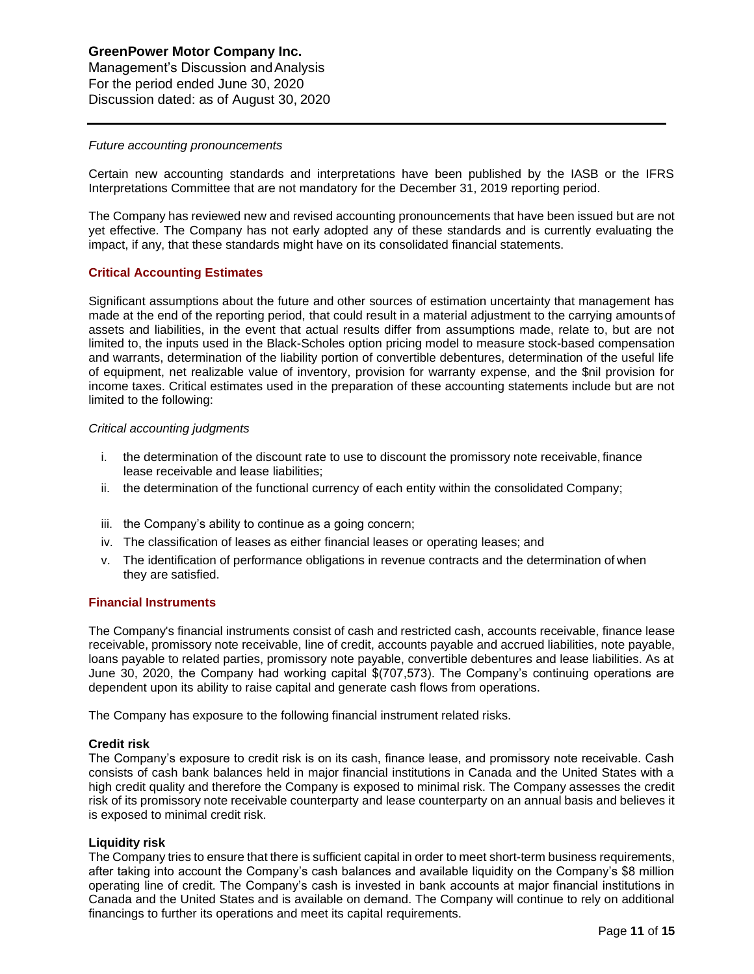# **GreenPower Motor Company Inc.**  Management's Discussion andAnalysis For the period ended June 30, 2020 Discussion dated: as of August 30, 2020

#### *Future accounting pronouncements*

Certain new accounting standards and interpretations have been published by the IASB or the IFRS Interpretations Committee that are not mandatory for the December 31, 2019 reporting period.

The Company has reviewed new and revised accounting pronouncements that have been issued but are not yet effective. The Company has not early adopted any of these standards and is currently evaluating the impact, if any, that these standards might have on its consolidated financial statements.

## **Critical Accounting Estimates**

Significant assumptions about the future and other sources of estimation uncertainty that management has made at the end of the reporting period, that could result in a material adjustment to the carrying amountsof assets and liabilities, in the event that actual results differ from assumptions made, relate to, but are not limited to, the inputs used in the Black-Scholes option pricing model to measure stock-based compensation and warrants, determination of the liability portion of convertible debentures, determination of the useful life of equipment, net realizable value of inventory, provision for warranty expense, and the \$nil provision for income taxes. Critical estimates used in the preparation of these accounting statements include but are not limited to the following:

#### *Critical accounting judgments*

- i. the determination of the discount rate to use to discount the promissory note receivable,finance lease receivable and lease liabilities;
- ii. the determination of the functional currency of each entity within the consolidated Company;
- iii. the Company's ability to continue as a going concern;
- iv. The classification of leases as either financial leases or operating leases; and
- v. The identification of performance obligations in revenue contracts and the determination of when they are satisfied.

## **Financial Instruments**

The Company's financial instruments consist of cash and restricted cash, accounts receivable, finance lease receivable, promissory note receivable, line of credit, accounts payable and accrued liabilities, note payable, loans payable to related parties, promissory note payable, convertible debentures and lease liabilities. As at June 30, 2020, the Company had working capital \$(707,573). The Company's continuing operations are dependent upon its ability to raise capital and generate cash flows from operations.

The Company has exposure to the following financial instrument related risks.

#### **Credit risk**

The Company's exposure to credit risk is on its cash, finance lease, and promissory note receivable. Cash consists of cash bank balances held in major financial institutions in Canada and the United States with a high credit quality and therefore the Company is exposed to minimal risk. The Company assesses the credit risk of its promissory note receivable counterparty and lease counterparty on an annual basis and believes it is exposed to minimal credit risk.

## **Liquidity risk**

The Company tries to ensure that there is sufficient capital in order to meet short-term business requirements, after taking into account the Company's cash balances and available liquidity on the Company's \$8 million operating line of credit. The Company's cash is invested in bank accounts at major financial institutions in Canada and the United States and is available on demand. The Company will continue to rely on additional financings to further its operations and meet its capital requirements.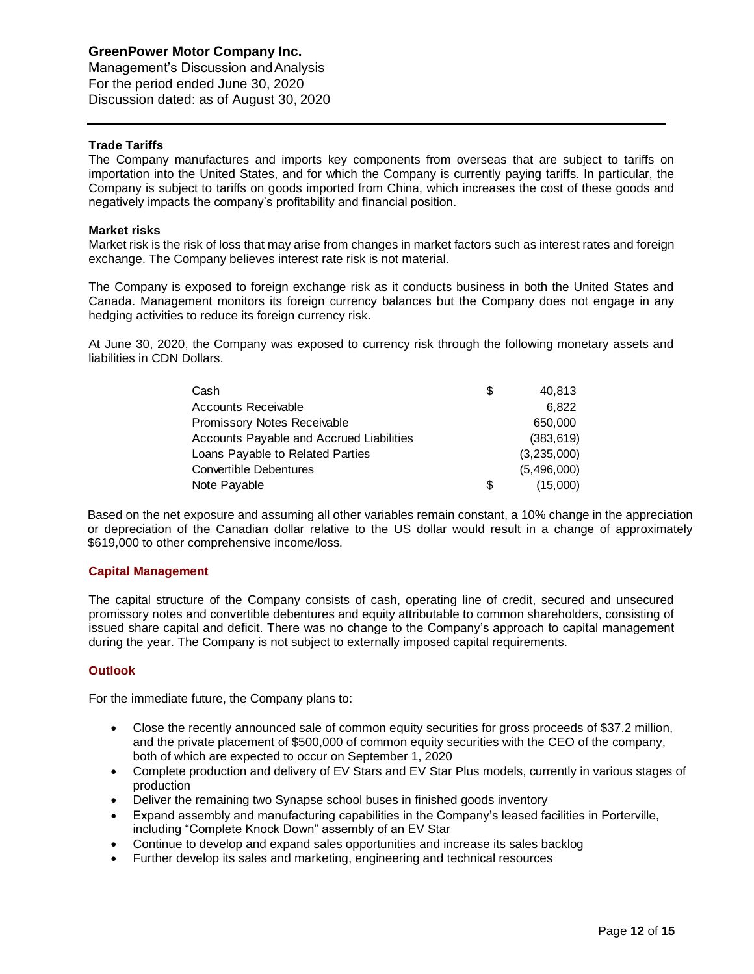Management's Discussion andAnalysis For the period ended June 30, 2020 Discussion dated: as of August 30, 2020

# **Trade Tariffs**

The Company manufactures and imports key components from overseas that are subject to tariffs on importation into the United States, and for which the Company is currently paying tariffs. In particular, the Company is subject to tariffs on goods imported from China, which increases the cost of these goods and negatively impacts the company's profitability and financial position.

## **Market risks**

Market risk is the risk of loss that may arise from changes in market factors such as interest rates and foreign exchange. The Company believes interest rate risk is not material.

The Company is exposed to foreign exchange risk as it conducts business in both the United States and Canada. Management monitors its foreign currency balances but the Company does not engage in any hedging activities to reduce its foreign currency risk.

At June 30, 2020, the Company was exposed to currency risk through the following monetary assets and liabilities in CDN Dollars.

| Cash                                     | S | 40.813      |
|------------------------------------------|---|-------------|
| Accounts Receivable                      |   | 6.822       |
| Promissory Notes Receivable              |   | 650,000     |
| Accounts Payable and Accrued Liabilities |   | (383, 619)  |
| Loans Payable to Related Parties         |   | (3,235,000) |
| <b>Convertible Debentures</b>            |   | (5,496,000) |
| Note Payable                             | S | (15,000)    |

Based on the net exposure and assuming all other variables remain constant, a 10% change in the appreciation or depreciation of the Canadian dollar relative to the US dollar would result in a change of approximately \$619,000 to other comprehensive income/loss.

## **Capital Management**

The capital structure of the Company consists of cash, operating line of credit, secured and unsecured promissory notes and convertible debentures and equity attributable to common shareholders, consisting of issued share capital and deficit. There was no change to the Company's approach to capital management during the year. The Company is not subject to externally imposed capital requirements.

## **Outlook**

For the immediate future, the Company plans to:

- Close the recently announced sale of common equity securities for gross proceeds of \$37.2 million, and the private placement of \$500,000 of common equity securities with the CEO of the company, both of which are expected to occur on September 1, 2020
- Complete production and delivery of EV Stars and EV Star Plus models, currently in various stages of production
- Deliver the remaining two Synapse school buses in finished goods inventory
- Expand assembly and manufacturing capabilities in the Company's leased facilities in Porterville, including "Complete Knock Down" assembly of an EV Star
- Continue to develop and expand sales opportunities and increase its sales backlog
- Further develop its sales and marketing, engineering and technical resources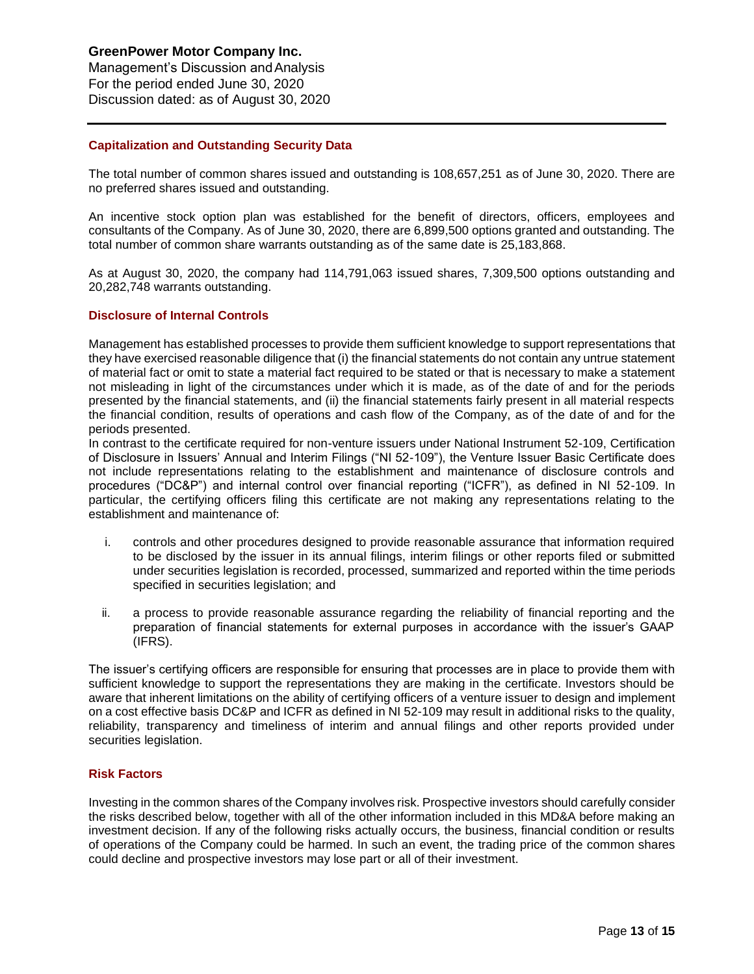# **GreenPower Motor Company Inc.**  Management's Discussion andAnalysis For the period ended June 30, 2020

Discussion dated: as of August 30, 2020

# **Capitalization and Outstanding Security Data**

The total number of common shares issued and outstanding is 108,657,251 as of June 30, 2020. There are no preferred shares issued and outstanding.

An incentive stock option plan was established for the benefit of directors, officers, employees and consultants of the Company. As of June 30, 2020, there are 6,899,500 options granted and outstanding. The total number of common share warrants outstanding as of the same date is 25,183,868.

As at August 30, 2020, the company had 114,791,063 issued shares, 7,309,500 options outstanding and 20,282,748 warrants outstanding.

# **Disclosure of Internal Controls**

Management has established processes to provide them sufficient knowledge to support representations that they have exercised reasonable diligence that (i) the financial statements do not contain any untrue statement of material fact or omit to state a material fact required to be stated or that is necessary to make a statement not misleading in light of the circumstances under which it is made, as of the date of and for the periods presented by the financial statements, and (ii) the financial statements fairly present in all material respects the financial condition, results of operations and cash flow of the Company, as of the date of and for the periods presented.

In contrast to the certificate required for non-venture issuers under National Instrument 52-109, Certification of Disclosure in Issuers' Annual and Interim Filings ("NI 52-109"), the Venture Issuer Basic Certificate does not include representations relating to the establishment and maintenance of disclosure controls and procedures ("DC&P") and internal control over financial reporting ("ICFR"), as defined in NI 52-109. In particular, the certifying officers filing this certificate are not making any representations relating to the establishment and maintenance of:

- i. controls and other procedures designed to provide reasonable assurance that information required to be disclosed by the issuer in its annual filings, interim filings or other reports filed or submitted under securities legislation is recorded, processed, summarized and reported within the time periods specified in securities legislation; and
- ii. a process to provide reasonable assurance regarding the reliability of financial reporting and the preparation of financial statements for external purposes in accordance with the issuer's GAAP (IFRS).

The issuer's certifying officers are responsible for ensuring that processes are in place to provide them with sufficient knowledge to support the representations they are making in the certificate. Investors should be aware that inherent limitations on the ability of certifying officers of a venture issuer to design and implement on a cost effective basis DC&P and ICFR as defined in NI 52-109 may result in additional risks to the quality, reliability, transparency and timeliness of interim and annual filings and other reports provided under securities legislation.

## **Risk Factors**

Investing in the common shares of the Company involves risk. Prospective investors should carefully consider the risks described below, together with all of the other information included in this MD&A before making an investment decision. If any of the following risks actually occurs, the business, financial condition or results of operations of the Company could be harmed. In such an event, the trading price of the common shares could decline and prospective investors may lose part or all of their investment.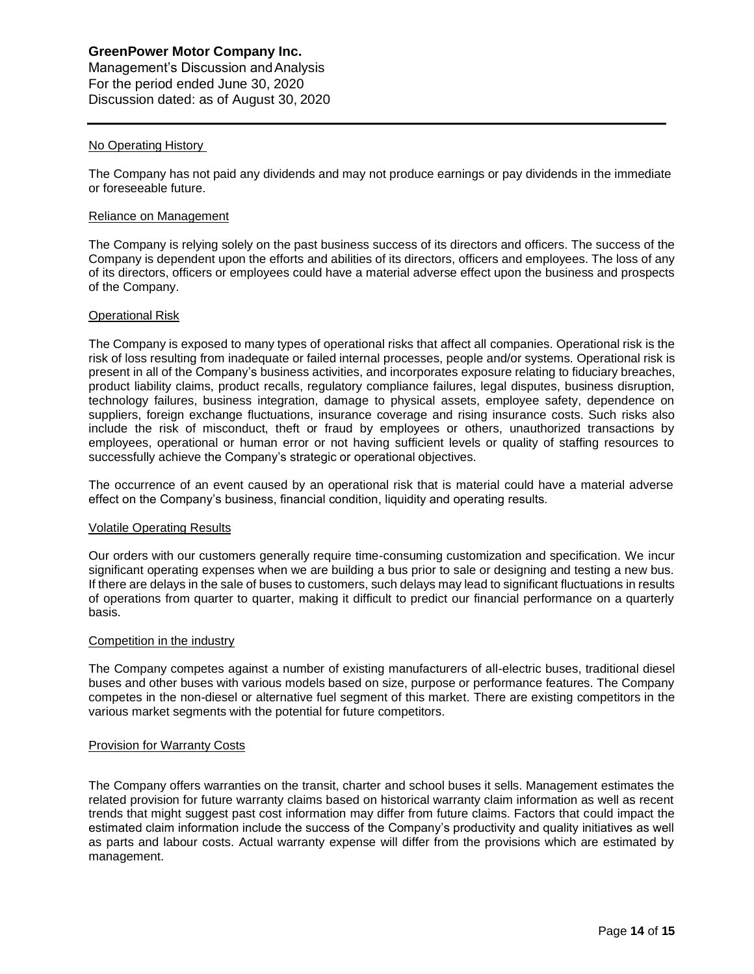# **GreenPower Motor Company Inc.**  Management's Discussion andAnalysis For the period ended June 30, 2020

Discussion dated: as of August 30, 2020

# No Operating History

The Company has not paid any dividends and may not produce earnings or pay dividends in the immediate or foreseeable future.

## Reliance on Management

The Company is relying solely on the past business success of its directors and officers. The success of the Company is dependent upon the efforts and abilities of its directors, officers and employees. The loss of any of its directors, officers or employees could have a material adverse effect upon the business and prospects of the Company.

## Operational Risk

The Company is exposed to many types of operational risks that affect all companies. Operational risk is the risk of loss resulting from inadequate or failed internal processes, people and/or systems. Operational risk is present in all of the Company's business activities, and incorporates exposure relating to fiduciary breaches, product liability claims, product recalls, regulatory compliance failures, legal disputes, business disruption, technology failures, business integration, damage to physical assets, employee safety, dependence on suppliers, foreign exchange fluctuations, insurance coverage and rising insurance costs. Such risks also include the risk of misconduct, theft or fraud by employees or others, unauthorized transactions by employees, operational or human error or not having sufficient levels or quality of staffing resources to successfully achieve the Company's strategic or operational objectives.

The occurrence of an event caused by an operational risk that is material could have a material adverse effect on the Company's business, financial condition, liquidity and operating results.

## Volatile Operating Results

Our orders with our customers generally require time-consuming customization and specification. We incur significant operating expenses when we are building a bus prior to sale or designing and testing a new bus. If there are delays in the sale of buses to customers, such delays may lead to significant fluctuations in results of operations from quarter to quarter, making it difficult to predict our financial performance on a quarterly basis.

## Competition in the industry

The Company competes against a number of existing manufacturers of all-electric buses, traditional diesel buses and other buses with various models based on size, purpose or performance features. The Company competes in the non-diesel or alternative fuel segment of this market. There are existing competitors in the various market segments with the potential for future competitors.

## Provision for Warranty Costs

The Company offers warranties on the transit, charter and school buses it sells. Management estimates the related provision for future warranty claims based on historical warranty claim information as well as recent trends that might suggest past cost information may differ from future claims. Factors that could impact the estimated claim information include the success of the Company's productivity and quality initiatives as well as parts and labour costs. Actual warranty expense will differ from the provisions which are estimated by management.